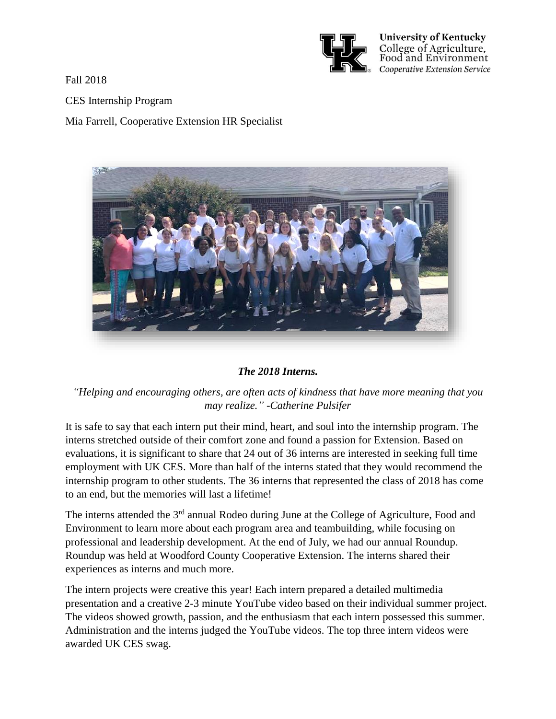

**University of Kentucky** College of Agriculture, Food and Environment Cooperative Extension Service

Fall 2018

## CES Internship Program

Mia Farrell, Cooperative Extension HR Specialist



## *The 2018 Interns.*

*"Helping and encouraging others, are often acts of kindness that have more meaning that you may realize." -Catherine Pulsifer*

It is safe to say that each intern put their mind, heart, and soul into the internship program. The interns stretched outside of their comfort zone and found a passion for Extension. Based on evaluations, it is significant to share that 24 out of 36 interns are interested in seeking full time employment with UK CES. More than half of the interns stated that they would recommend the internship program to other students. The 36 interns that represented the class of 2018 has come to an end, but the memories will last a lifetime!

The interns attended the 3<sup>rd</sup> annual Rodeo during June at the College of Agriculture, Food and Environment to learn more about each program area and teambuilding, while focusing on professional and leadership development. At the end of July, we had our annual Roundup. Roundup was held at Woodford County Cooperative Extension. The interns shared their experiences as interns and much more.

The intern projects were creative this year! Each intern prepared a detailed multimedia presentation and a creative 2-3 minute YouTube video based on their individual summer project. The videos showed growth, passion, and the enthusiasm that each intern possessed this summer. Administration and the interns judged the YouTube videos. The top three intern videos were awarded UK CES swag.